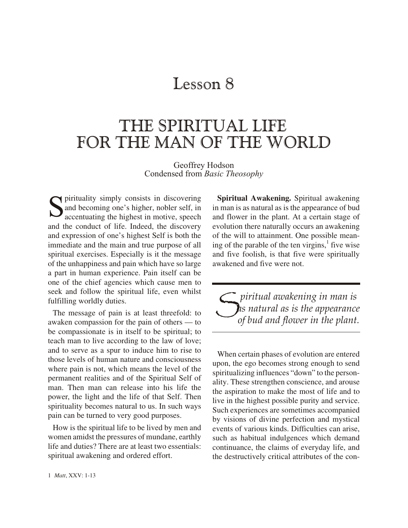# Lesson 8

# THE SPIRITUAL LIFE FOR THE MAN OF THE WORLD

Geoffrey Hodson Condensed from *Basic Theosophy*

S pirituality simply consists in discovering<br>and becoming one's higher, nobler self, in<br>accentuating the highest in motive, speech and becoming one's higher, nobler self, in accentuating the highest in motive, speech and the conduct of life. Indeed, the discovery and expression of one's highest Self is both the im mediate and the main and true purpose of all spiritual exercises. Especially is it the message of the unhappiness and pain which have so large a part in human experience. Pain itself can be one of the chief agencies which cause men to seek and follow the spiritual life, even whilst ful filling worldly duties.

The message of pain is at least threefold: to awaken compassion for the pain of others  $-$  to be compassionate is in itself to be spiritual; to teach man to live according to the law of love; and to serve as a spur to induce him to rise to those levels of human nature and consciousness where pain is not, which means the level of the permanent realities and of the Spiritual Self of man. Then man can release into his life the power, the light and the life of that Self. Then spirituality becomes natural to us. In such ways pain can be turned to very good purposes.

How is the spiritual life to be lived by men and women amidst the pressures of mundane, earthly life and duties? There are at least two essentials: spiritual awakening and ordered effort.

**Spiritual Awakening.** Spiritual awakening in man is as natural as is the appearance of bud and flower in the plant. At a certain stage of evolution there naturally occurs an awakening of the will to attainment. One possible meaning of the parable of the ten virgins, $\frac{1}{1}$  five wise and five foolish, is that five were spiritually awakened and five were not.

S *<u><i>piritual awakening in man is*</u> *as nat u ral as is the ap pear ance of bud and flower in the plant.*

When certain phases of evolution are entered upon, the ego be comes strong enough to send spiritualizing influences "down" to the personality. These strengthen conscience, and arouse the aspiration to make the most of life and to live in the highest possible purity and service. Such experiences are sometimes accompanied by visions of divine perfection and mystical events of various kinds. Difficulties can arise, such as habitual indulgences which demand continuance, the claims of everyday life, and the destructively critical attributes of the con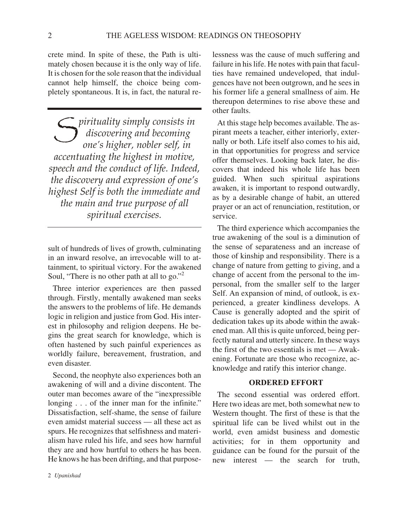crete mind. In spite of these, the Path is ultimately chosen because it is the only way of life. It is chosen for the sole reason that the individual cannot help himself, the choice being completely spontaneous. It is, in fact, the natural re-

*S* pirituality simply consists in<br>discovering and becoming<br>one's hioher nobler self in *dis cov er ing and be com ing one's higher, no bler self, in ac cen tu at ing the high est in mo tive, speech and the con duct of life. In deed, the discovery and expression of one's high est Self is both the im me di ate and the main and true purpose of all*  $s$ *piritual exercises.* 

sult of hundreds of lives of growth, culminating in an inward resolve, an irrevocable will to attainment, to spiritual victory. For the awakened Soul, "There is no other path at all to go."<sup>2</sup>

Three interior experiences are then passed through. Firstly, mentally awakened man seeks the answers to the problems of life. He demands logic in religion and justice from God. His interest in philosophy and religion deepens. He begins the great search for knowledge, which is often has tened by such painful experiences as worldly failure, bereavement, frustration, and even disaster.

Second, the neophyte also experiences both an awakening of will and a divine discontent. The outer man becomes aware of the "inexpressible longing  $\ldots$  of the inner man for the infinite." Dissatisfaction, self-shame, the sense of failure even amidst material success — all these act as spurs. He recognizes that selfishness and materialism have ruled his life, and sees how harmful they are and how hurtful to others he has been. He knows he has been drifting, and that purposelessness was the cause of much suffering and failure in his life. He notes with pain that faculties have remained undeveloped, that indulgences have not been outgrown, and he sees in his former life a general smallness of aim. He thereupon determines to rise above these and other faults.

At this stage help becomes available. The aspirant meets a teacher, either interiorly, externally or both. Life it self also comes to his aid, in that opportunities for progress and service offer themselves. Looking back later, he dis covers that indeed his whole life has been guided. When such spiritual aspirations awaken, it is important to respond outwardly, as by a desirable change of habit, an uttered prayer or an act of renunciation, restitution, or service.

The third experience which accompanies the true awakening of the soul is a diminution of the sense of separateness and an increase of those of kinship and responsibility. There is a change of nature from getting to giving, and a change of accent from the personal to the impersonal, from the smaller self to the larger Self. An expansion of mind, of outlook, is experienced, a greater kindliness develops. A Cause is generally adopted and the spirit of dedication takes up its abode within the awakened man. All this is quite unforced, being perfectly natural and utterly sincere. In these ways the first of the two essentials is met  $-$  Awakening. Fortunate are those who recognize, acknowledge and ratify this interior change.

#### **ORDERED EFFORT**

The second essential was ordered effort. Here two ideas are met, both somewhat new to Western thought. The first of these is that the spiritual life can be lived whilst out in the world, even amidst business and domestic activities; for in them opportunity and guidance can be found for the pursuit of the new interest — the search for truth,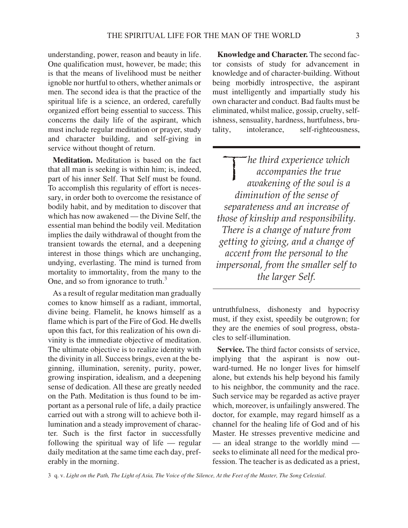understanding, power, reason and beauty in life. One qualification must, however, be made; this is that the means of livelihood must be neither ignoble nor hurtful to others, whether animals or men. The second idea is that the practice of the spiritual life is a science, an ordered, carefully organized effort being essential to success. This concerns the daily life of the aspirant, which must include regular meditation or prayer, study and character building, and self-giving in service without thought of return.

**Meditation.** Meditation is based on the fact that all man is seeking is within him; is, indeed, part of his inner Self. That Self must be found. To accomplish this regularity of effort is necessary, in order both to overcome the resistance of bodily habit, and by meditation to discover that which has now awakened — the Divine Self, the essential man behind the bodily veil. Meditation implies the daily withdrawal of thought from the transient towards the eternal, and a deepening interest in those things which are unchanging, undying, everlasting. The mind is turned from mortality to immortality, from the many to the One, and so from ignorance to truth. $3$ 

As a result of regular meditation man gradually comes to know himself as a radiant, immortal, divine being. Flamelit, he knows himself as a flame which is part of the Fire of God. He dwells upon this fact, for this realization of his own divinity is the immediate objective of meditation. The ultimate objective is to realize identity with the divinity in all. Success brings, even at the beginning, illumination, serenity, purity, power, growing inspiration, idealism, and a deepening sense of dedication. All these are greatly needed on the Path. Meditation is thus found to be important as a personal rule of life, a daily practice carried out with a strong will to achieve both illumination and a steady improvement of character. Such is the first factor in successfully following the spiritual way of life  $-$  regular daily meditation at the same time each day, preferably in the morning.

Knowledge and Character. The second factor consists of study for advancement in knowledge and of character-building. Without being morbidly introspective, the aspirant must intelligently and impartially study his own character and conduct. Bad faults must be eliminated, whilst malice, gossip, cruelty, selfishness, sen suality, hardness, hurtfulness, brutality, intolerance, self-righteousness,

 $\mathbf{I}$ *he third ex pe ri ence which ac com pa nies the true awak en ing of the soul is a diminution of the sense of sep a rate ness and an in crease of those of kin ship and re spon si bil ity. There is a change of na ture from get ting to giv ing, and a change of ac cent from the per sonal to the im per sonal, from the smaller self to the larger Self.*

untruth fulness, dishonesty and hypocrisy must, if they exist, speedily be outgrown; for they are the enemies of soul progress, obstacles to self-illumination.

**Service.** The third factor consists of service. implying that the aspirant is now outward-turned. He no longer lives for himself alone, but extends his help beyond his family to his neighbor, the community and the race. Such service may be regarded as active prayer which, moreover, is unfailingly answered. The doctor, for example, may regard himself as a channel for the healing life of God and of his Master. He stresses preventive medicine and — an ideal strange to the worldly mind seeks to eliminate all need for the medical profession. The teacher is as dedicated as a priest,

3 q. v. *Light on the Path, The Light of Asia, The Voice of the Silence, At the Feet of the Master, The Song Celestial*.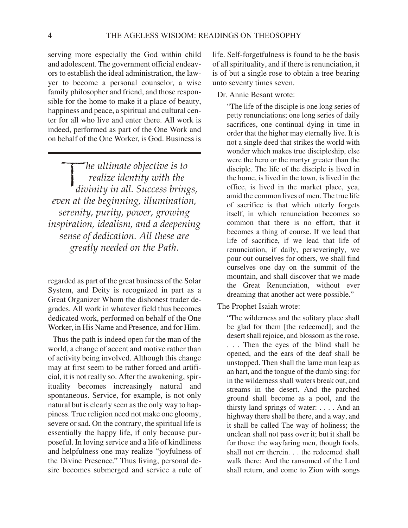serving more especially the God within child and adolescent. The government official endeavors to establish the ideal administration, the lawyer to become a personal counselor, a wise family philosopher and friend, and those responsible for the home to make it a place of beauty, happiness and peace, a spiritual and cultural center for all who live and enter there. All work is indeed, performed as part of the One Work and on behalf of the One Worker, is God. Business is

*he ultimate objective is to*<br>*realize identity with the*<br>*divinity in all Success bring realize iden tity with the di vin ity in all. Suc cess brings, even at the be gin ning, il lu mi na tion, se ren ity, pu rity, power, grow ing in spi ra tion, ide al ism, and a deep en ing sense of dedication. All these are greatly needed on the Path.*

regarded as part of the great business of the Solar System, and Deity is recognized in part as a Great Organizer Whom the dishonest trader degrades. All work in whatever field thus becomes dedicated work, performed on behalf of the One Worker, in His Name and Presence, and for Him.

Thus the path is indeed open for the man of the world, a change of accent and motive rather than of activity being involved. Although this change may at first seem to be rather forced and artificial, it is not really so. After the awakening, spirituality becomes increasingly natural and spontaneous. Service, for example, is not only natural but is clearly seen as the only way to happiness. True religion need not make one gloomy, severe or sad. On the contrary, the spiritual life is essentially the happy life, if only because purposeful. In loving service and a life of kindliness and helpfulness one may realize "joyfulness of the Divine Presence." Thus living, personal desire becomes submerged and service a rule of life. Self-forgetfulness is found to be the basis of all spirituality, and if there is renunciation, it is of but a single rose to obtain a tree bearing unto seventy times seven.

Dr. Annie Besant wrote:

"The life of the disciple is one long series of petty renunciations; one long series of daily sacrifices, one continual dying in time in order that the higher may eternally live. It is not a single deed that strikes the world with wonder which makes true discipleship, else were the hero or the martyr greater than the disciple. The life of the disciple is lived in the home, is lived in the town, is lived in the office, is lived in the market place, yea, amid the common lives of men. The true life of sacrifice is that which utterly forgets itself, in which renunciation becomes so common that there is no effort, that it be comes a thing of course. If we lead that life of sacrifice, if we lead that life of renunciation, if daily, perseveringly, we pour out ourselves for others, we shall find ourselves one day on the summit of the mountain, and shall discover that we made the Great Renunciation, without ever dreaming that another act were possible."

The Prophet Isaiah wrote:

"The wilderness and the solitary place shall" be glad for them [the redeemed]; and the desert shall rejoice, and blossom as the rose. . . . Then the eyes of the blind shall be opened, and the ears of the deaf shall be unstopped. Then shall the lame man leap as an hart, and the tongue of the dumb sing: for in the wilderness shall waters break out, and streams in the desert. And the parched ground shall be come as a pool, and the thirsty land springs of water: ... . And an highway there shall be there, and a way, and it shall be called The way of holiness; the unclean shall not pass over it; but it shall be for those: the way faring men, though fools, shall not err therein. . . the redeemed shall walk there: And the ransomed of the Lord shall return, and come to Zion with songs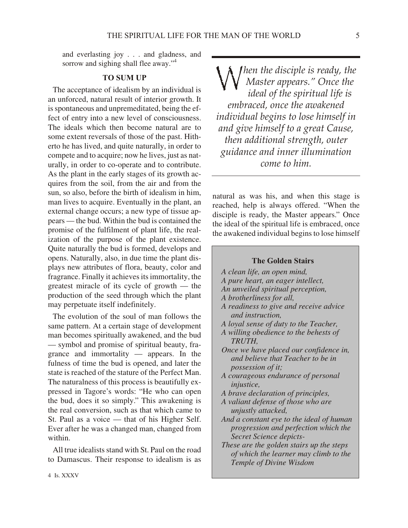and everlasting joy . . . and gladness, and sorrow and sighing shall flee away."<sup>4</sup>

#### **TO SUM UP**

The acceptance of idealism by an individual is an unforced, natural result of interior growth. It is spontaneous and unpremeditated, being the effect of entry into a new level of consciousness. The ideals which then become natural are to some extent reversals of those of the past. Hitherto he has lived, and quite naturally, in order to compete and to acquire; now he lives, just as naturally, in order to co-operate and to contribute. As the plant in the early stages of its growth acquires from the soil, from the air and from the sun, so also, before the birth of idealism in him, man lives to acquire. Eventually in the plant, an external change occurs; a new type of tissue appears — the bud. Within the bud is contained the promise of the fulfilment of plant life, the realization of the purpose of the plant existence. Quite naturally the bud is formed, develops and opens. Naturally, also, in due time the plant displays new attributes of flora, beauty, color and fragrance. Finally it achieves its immortality, the greatest miracle of its cycle of growth  $-$  the production of the seed through which the plant may perpetuate itself indefinitely.

The evolution of the soul of man follows the same pattern. At a certain stage of development man becomes spiritually awakened, and the bud — symbol and promise of spiritual beauty, fragrance and immortality — appears. In the fulness of time the bud is opened, and later the state is reached of the stature of the Perfect Man. The naturalness of this process is beautifully expressed in Tagore's words: "He who can open the bud, does it so simply." This awakening is the real conversion, such as that which came to St. Paul as a voice — that of his Higher Self. Ever after he was a changed man, changed from within.

All true idealists stand with St. Paul on the road to Damascus. Their response to idealism is as

*M hen the disciple is ready, the Mas ter ap pears." Once the ideal of the spiritual life is embraced, once the awakened in di vid ual be gins to lose him self in and give himself to a great Cause, then additional strength, outer guid ance and in ner il lu mi na tion come to him.*

natural as was his, and when this stage is reached, help is always offered. "When the disciple is ready, the Master appears." Once the ideal of the spiritual life is embraced, once the awakened individual begins to lose himself

#### **The Golden Stairs**

- *A clean life, an open mind,*
- *A pure heart, an ea ger in tel lect,*
- *An un veiled spir i tual per cep tion,*
- *A broth er li ness for all,*
- *A readi ness to give and re ceive ad vice and in struc tion,*
- *A loyal sense of duty to the Teacher,*
- *A will ing obe di ence to the behests of TRUTH,*
- *Once we have placed our confidence in, and be lieve that Teacher to be in pos ses sion of it;*
- *A cou ra geous en dur ance of per sonal in jus tice,*
- *A brave dec la ra tion of prin ci ples,*
- *A val iant defense of those who are unjustly attacked,*
- *And a con stant eye to the ideal of hu man pro gres sion and per fec tion which the* Secret Science depicts-
- *These are the golden stairs up the steps of which the learner may climb to the Tem ple of Di vine Wis dom*